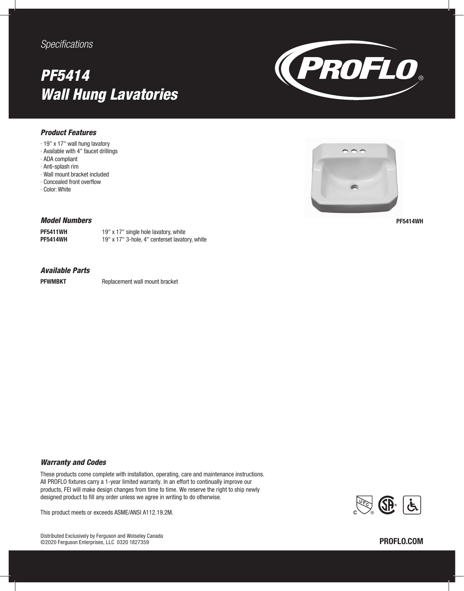### *Specifications*

## *PF5414 Wall Hung Lavatories*



#### *Product Features*

- ∙ 19" x 17" wall hung lavatory
- ∙ Available with 4" faucet drillings
- ∙ ADA compliant
- ∙ Anti-splash rim
- ∙ Wall mount bracket included
- ∙ Concealed front overflow
- ∙ Color: White



PF5414WH

#### *Model Numbers*

**PF5411WH** 19" x 17" single hole lavatory, white PF5414WH 19" x 17" 3-hole, 4" centerset lavatory, white

#### *Available Parts*

PFWMBKT Replacement wall mount bracket

#### *Warranty and Codes*

These products come complete with installation, operating, care and maintenance instructions. All PROFLO fixtures carry a 1-year limited warranty. In an effort to continually improve our products, FEI will make design changes from time to time. We reserve the right to ship newly designed product to fill any order unless we agree in writing to do otherwise.

This product meets or exceeds ASME/ANSI A112.19.2M.

Distributed Exclusively by Ferguson and Wolseley Canada ©2020 Ferguson Enterprises, LLC 0320 1827359 PROFLO.COM

# $\mathbb{R}$   $\mathbb{G}$   $\left[\dot{\mathbf{t}}\right]$